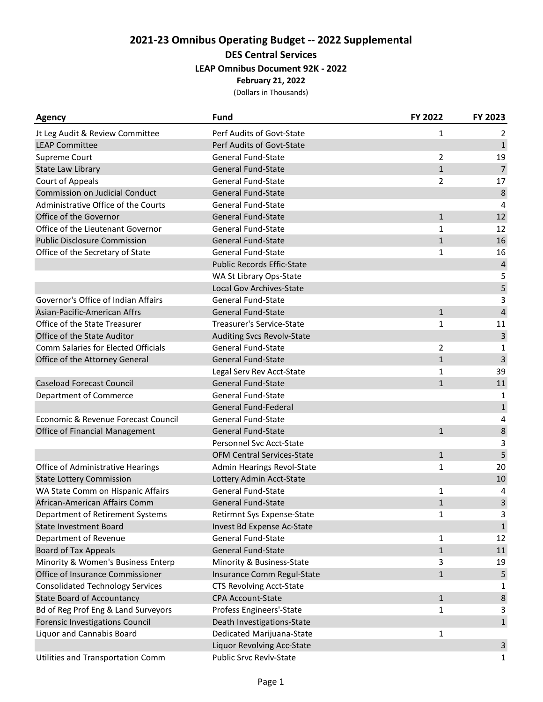## **2021-23 Omnibus Operating Budget -- 2022 Supplemental DES Central Services**

# **LEAP Omnibus Document 92K - 2022**

**February 21, 2022**

(Dollars in Thousands)

| <b>Agency</b>                              | <b>Fund</b>                       | FY 2022        | FY 2023        |
|--------------------------------------------|-----------------------------------|----------------|----------------|
| Jt Leg Audit & Review Committee            | Perf Audits of Govt-State         | $\mathbf{1}$   | 2              |
| <b>LEAP Committee</b>                      | Perf Audits of Govt-State         |                | $\mathbf{1}$   |
| Supreme Court                              | <b>General Fund-State</b>         | $\overline{2}$ | 19             |
| State Law Library                          | <b>General Fund-State</b>         | $\mathbf{1}$   | $\overline{7}$ |
| Court of Appeals                           | <b>General Fund-State</b>         | $\overline{2}$ | 17             |
| <b>Commission on Judicial Conduct</b>      | <b>General Fund-State</b>         |                | 8              |
| Administrative Office of the Courts        | <b>General Fund-State</b>         |                | 4              |
| Office of the Governor                     | <b>General Fund-State</b>         | $\mathbf{1}$   | 12             |
| Office of the Lieutenant Governor          | <b>General Fund-State</b>         | $\mathbf{1}$   | 12             |
| <b>Public Disclosure Commission</b>        | <b>General Fund-State</b>         | $\mathbf{1}$   | 16             |
| Office of the Secretary of State           | <b>General Fund-State</b>         | $\mathbf{1}$   | 16             |
|                                            | <b>Public Records Effic-State</b> |                | $\sqrt{4}$     |
|                                            | WA St Library Ops-State           |                | 5              |
|                                            | Local Gov Archives-State          |                | 5              |
| Governor's Office of Indian Affairs        | <b>General Fund-State</b>         |                | 3              |
| Asian-Pacific-American Affrs               | <b>General Fund-State</b>         | $\mathbf{1}$   | $\overline{4}$ |
| Office of the State Treasurer              | <b>Treasurer's Service-State</b>  | $\mathbf{1}$   | 11             |
| Office of the State Auditor                | <b>Auditing Svcs Revolv-State</b> |                | 3              |
| <b>Comm Salaries for Elected Officials</b> | <b>General Fund-State</b>         | $\overline{2}$ | 1              |
| Office of the Attorney General             | <b>General Fund-State</b>         | $\mathbf{1}$   | 3              |
|                                            | Legal Serv Rev Acct-State         | $\mathbf{1}$   | 39             |
| <b>Caseload Forecast Council</b>           | General Fund-State                | $\mathbf{1}$   | 11             |
| Department of Commerce                     | <b>General Fund-State</b>         |                | 1              |
|                                            | General Fund-Federal              |                | $\mathbf{1}$   |
| Economic & Revenue Forecast Council        | <b>General Fund-State</b>         |                | 4              |
| Office of Financial Management             | <b>General Fund-State</b>         | $\mathbf{1}$   | 8              |
|                                            | Personnel Svc Acct-State          |                | 3              |
|                                            | <b>OFM Central Services-State</b> | $\mathbf{1}$   | 5              |
| Office of Administrative Hearings          | Admin Hearings Revol-State        | $\mathbf{1}$   | 20             |
| <b>State Lottery Commission</b>            | Lottery Admin Acct-State          |                | 10             |
| WA State Comm on Hispanic Affairs          | <b>General Fund-State</b>         | 1              | 4              |
| African-American Affairs Comm              | <b>General Fund-State</b>         | $\mathbf{1}$   | 3              |
| Department of Retirement Systems           | Retirmnt Sys Expense-State        | 1              | 3              |
| State Investment Board                     | Invest Bd Expense Ac-State        |                | $\mathbf{1}$   |
| Department of Revenue                      | General Fund-State                | $\mathbf{1}$   | 12             |
| <b>Board of Tax Appeals</b>                | General Fund-State                | $\mathbf{1}$   | 11             |
| Minority & Women's Business Enterp         | Minority & Business-State         | 3              | 19             |
| Office of Insurance Commissioner           | Insurance Comm Regul-State        | $\mathbf{1}$   | 5              |
| <b>Consolidated Technology Services</b>    | CTS Revolving Acct-State          |                | 1              |
| <b>State Board of Accountancy</b>          | CPA Account-State                 | $\mathbf{1}$   | $\,$ 8 $\,$    |
| Bd of Reg Prof Eng & Land Surveyors        | Profess Engineers'-State          | $\mathbf{1}$   | 3              |
| <b>Forensic Investigations Council</b>     | Death Investigations-State        |                | $\mathbf{1}$   |
| Liquor and Cannabis Board                  | Dedicated Marijuana-State         | 1              |                |
|                                            | Liquor Revolving Acc-State        |                | $\mathbf{3}$   |
| Utilities and Transportation Comm          | Public Srvc Revlv-State           |                | 1              |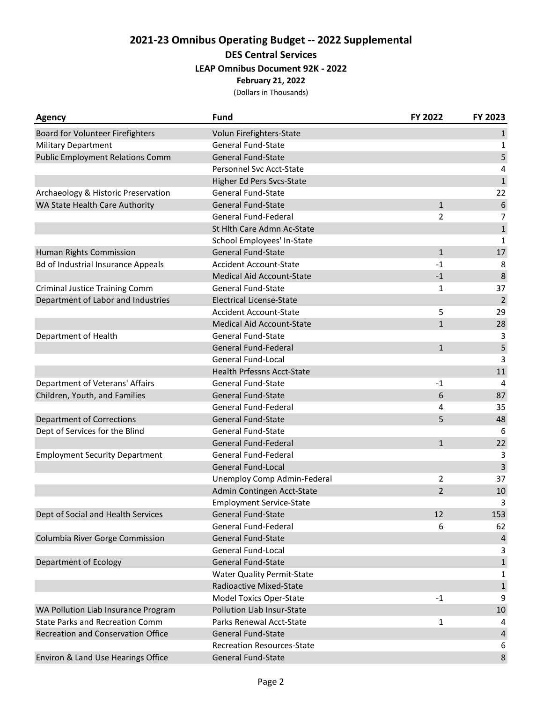## **2021-23 Omnibus Operating Budget -- 2022 Supplemental DES Central Services**

#### **LEAP Omnibus Document 92K - 2022**

**February 21, 2022**

(Dollars in Thousands)

| Agency                                    | <b>Fund</b>                       | FY 2022        | FY 2023          |
|-------------------------------------------|-----------------------------------|----------------|------------------|
| Board for Volunteer Firefighters          | Volun Firefighters-State          |                | $\mathbf{1}$     |
| <b>Military Department</b>                | General Fund-State                |                | 1                |
| <b>Public Employment Relations Comm</b>   | <b>General Fund-State</b>         |                | 5                |
|                                           | Personnel Svc Acct-State          |                | 4                |
|                                           | <b>Higher Ed Pers Svcs-State</b>  |                | $\mathbf{1}$     |
| Archaeology & Historic Preservation       | <b>General Fund-State</b>         |                | 22               |
| WA State Health Care Authority            | <b>General Fund-State</b>         | $\mathbf{1}$   | $\boldsymbol{6}$ |
|                                           | General Fund-Federal              | $\overline{2}$ | $\overline{7}$   |
|                                           | St Hlth Care Admn Ac-State        |                | $\mathbf{1}$     |
|                                           | School Employees' In-State        |                | 1                |
| Human Rights Commission                   | <b>General Fund-State</b>         | $\mathbf{1}$   | 17               |
| <b>Bd of Industrial Insurance Appeals</b> | <b>Accident Account-State</b>     | $-1$           | 8                |
|                                           | <b>Medical Aid Account-State</b>  | $-1$           | 8                |
| <b>Criminal Justice Training Comm</b>     | <b>General Fund-State</b>         | 1              | 37               |
| Department of Labor and Industries        | <b>Electrical License-State</b>   |                | $\overline{2}$   |
|                                           | <b>Accident Account-State</b>     | 5              | 29               |
|                                           | Medical Aid Account-State         | $\mathbf 1$    | 28               |
| Department of Health                      | <b>General Fund-State</b>         |                | 3                |
|                                           | General Fund-Federal              | $\mathbf{1}$   | 5                |
|                                           | General Fund-Local                |                | 3                |
|                                           | <b>Health Prfessns Acct-State</b> |                | 11               |
| Department of Veterans' Affairs           | <b>General Fund-State</b>         | $-1$           | 4                |
| Children, Youth, and Families             | <b>General Fund-State</b>         | 6              | 87               |
|                                           | General Fund-Federal              | 4              | 35               |
| <b>Department of Corrections</b>          | <b>General Fund-State</b>         | 5              | 48               |
| Dept of Services for the Blind            | <b>General Fund-State</b>         |                | 6                |
|                                           | General Fund-Federal              | $\mathbf{1}$   | 22               |
| <b>Employment Security Department</b>     | General Fund-Federal              |                | 3                |
|                                           | <b>General Fund-Local</b>         |                | 3                |
|                                           | Unemploy Comp Admin-Federal       | 2              | 37               |
|                                           | Admin Contingen Acct-State        | $\overline{2}$ | 10               |
|                                           | <b>Employment Service-State</b>   |                | 3                |
| Dept of Social and Health Services        | General Fund-State                | 12             | 153              |
|                                           | <b>General Fund-Federal</b>       | 6              | 62               |
| Columbia River Gorge Commission           | <b>General Fund-State</b>         |                | $\overline{4}$   |
|                                           | General Fund-Local                |                | 3                |
| Department of Ecology                     | <b>General Fund-State</b>         |                | $\mathbf 1$      |
|                                           | <b>Water Quality Permit-State</b> |                | 1                |
|                                           | Radioactive Mixed-State           |                | $\mathbf 1$      |
|                                           | Model Toxics Oper-State           | $-1$           | 9                |
| WA Pollution Liab Insurance Program       | Pollution Liab Insur-State        |                | 10               |
| <b>State Parks and Recreation Comm</b>    | Parks Renewal Acct-State          | 1              | 4                |
| Recreation and Conservation Office        | <b>General Fund-State</b>         |                | 4                |
|                                           | <b>Recreation Resources-State</b> |                | 6                |
| Environ & Land Use Hearings Office        | General Fund-State                |                | 8                |